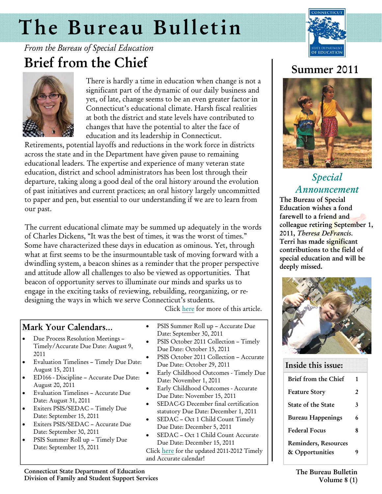# <span id="page-0-0"></span>The Bureau Bulletin



and and

# *From the Bureau of Special Education*  Brief from the Chief



There is hardly a time in education when change is not a significant part of the dynamic of our daily business and yet, of late, change seems to be an even greater factor in Connecticut's educational climate. Harsh fiscal realities at both the district and state levels have contributed to changes that have the potential to alter the face of education and its leadership in Connecticut.

Retirements, potential layoffs and reductions in the work force in districts across the state and in the Department have given pause to remaining educational leaders. The expertise and experience of many veteran state education, district and school administrators has been lost through their departure, taking along a good deal of the oral history around the evolution of past initiatives and current practices; an oral history largely uncommitted to paper and pen, but essential to our understanding if we are to learn from our past.

The current educational climate may be summed up adequately in the words of Charles Dickens, "It was the best of times, it was the worst of times." Some have characterized these days in education as ominous. Yet, through what at first seems to be the insurmountable task of moving forward with a dwindling system, a beacon shines as a reminder that the proper perspective and attitude allow all challenges to also be viewed as opportunities. That beacon of opportunity serves to illuminate our minds and sparks us to engage in the exciting tasks of reviewing, rebuilding, reorganizing, or redesigning the ways in which we serve Connecticut's students.

Click [here](http://www.ctserc.org/bb/summer2011/p1a%20Brief%20from%20the%20Chief.pdf) for more of this article.

### Mark Your Calendars…

- Due Process Resolution Meetings Timely/Accurate Due Date: August 9, 2011
- Evaluation Timelines Timely Due Date: August 15, 2011
- ED166 Discipline Accurate Due Date: August 20, 2011
- Evaluation Timelines Accurate Due Date: August 31, 2011
- Exiters PSIS/SEDAC Timely Due Date: September 15, 2011
- Exiters PSIS/SEDAC Accurate Due Date: September 30, 2011
- PSIS Summer Roll up Timely Due Date: September 15, 2011
- PSIS Summer Roll up Accurate Due Date: September 30, 2011
- PSIS October 2011 Collection Timely Due Date: October 15, 2011
- PSIS October 2011 Collection Accurate Due Date: October 29, 2011
- Early Childhood Outcomes Timely Due Date: November 1, 2011
- Early Childhood Outcomes Accurate Due Date: November 15, 2011
- SEDAC-G December final certification statutory Due Date: December 1, 2011
- SEDAC Oct 1 Child Count Timely Due Date: December 5, 2011
- SEDAC Oct 1 Child Count Accurate Due Date: December 15, 2011

Click [here](http://www.ctserc.org/bb/summer2011/p1b%20ATTACHMENT.timely%20%20accurate%20calendar%201112.pdf) for the updated 2011-2012 Timely and Accurate calendar!

# Summer 2011



# *Special Announcement*

The Bureau of Special Education wishes a fond farewell to a friend and colleague retiring September 1, 2011, *Theresa DeFrancis.*  Terri has made significant contributions to the field of special education and will be deeply missed.



#### Inside this issue:

| Brief from the Chief        | 1            |  |
|-----------------------------|--------------|--|
|                             | $\mathbf{2}$ |  |
| <b>Feature Story</b>        |              |  |
| State of the State          | 3            |  |
| Bureau Happenings           | 6            |  |
| <b>Federal Focus</b>        | 8            |  |
| <b>Reminders, Resources</b> |              |  |
| & Opportunities             | 9            |  |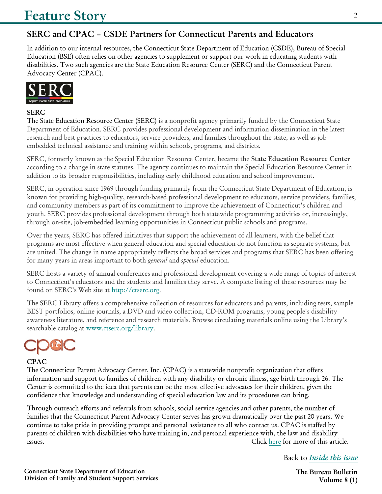# **SERC and CPAC – CSDE Partners for Connecticut Parents and Educators**

In addition to our internal resources, the Connecticut State Department of Education (CSDE), Bureau of Special Education (BSE) often relies on other agencies to supplement or support our work in educating students with disabilities. Two such agencies are the State Education Resource Center (SERC) and the Connecticut Parent Advocacy Center (CPAC).



#### **SERC**

The State Education Resource Center (SERC) is a nonprofit agency primarily funded by the Connecticut State Department of Education. SERC provides professional development and information dissemination in the latest research and best practices to educators, service providers, and families throughout the state, as well as jobembedded technical assistance and training within schools, programs, and districts.

SERC, formerly known as the Special Education Resource Center, became the **State Education Resource Center** according to a change in state statutes. The agency continues to maintain the Special Education Resource Center in addition to its broader responsibilities, including early childhood education and school improvement.

SERC, in operation since 1969 through funding primarily from the Connecticut State Department of Education, is known for providing high-quality, research-based professional development to educators, service providers, families, and community members as part of its commitment to improve the achievement of Connecticut's children and youth. SERC provides professional development through both statewide programming activities or, increasingly, through on-site, job-embedded learning opportunities in Connecticut public schools and programs.

Over the years, SERC has offered initiatives that support the achievement of all learners, with the belief that programs are most effective when general education and special education do not function as separate systems, but are united. The change in name appropriately reflects the broad services and programs that SERC has been offering for many years in areas important to both *general* and *special* education.

SERC hosts a variety of annual conferences and professional development covering a wide range of topics of interest to Connecticut's educators and the students and families they serve. A complete listing of these resources may be found on SERC's Web site at [http://ctserc.org.](http://ctserc.org) 

The SERC Library offers a comprehensive collection of resources for educators and parents, including tests, sample BEST portfolios, online journals, a DVD and video collection, CD-ROM programs, young people's disability awareness literature, and reference and research materials. Browse circulating materials online using the Library's searchable catalog at [www.ctserc.org/library.](http://www.ctserc.org/library) 



#### **CPAC**

The Connecticut Parent Advocacy Center, Inc. (CPAC) is a statewide nonprofit organization that offers information and support to families of children with any disability or chronic illness, age birth through 26. The Center is committed to the idea that parents can be the most effective advocates for their children, given the confidence that knowledge and understanding of special education law and its procedures can bring.

Through outreach efforts and referrals from schools, social service agencies and other parents, the number of families that the Connecticut Parent Advocacy Center serves has grown dramatically over the past 20 years. We continue to take pride in providing prompt and personal assistance to all who contact us. CPAC is staffed by parents of children with disabilities who have training in, and personal experience with, the law and disability issues. Click [here](http://www.ctserc.org/bb/summer2011/p2feature%20SERC.CPAC.pdf) for more of this article.

Back to *[Inside this issue](#page-0-0)*

 $\mathfrak{D}$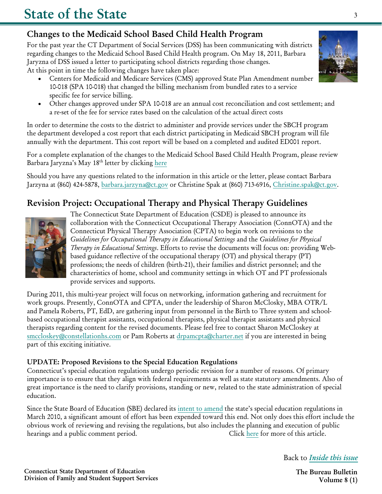### Changes to the Medicaid School Based Child Health Program

For the past year the CT Department of Social Services (DSS) has been communicating with districts regarding changes to the Medicaid School Based Child Health program. On May 18, 2011, Barbara Jaryzna of DSS issued a letter to participating school districts regarding those changes. At this point in time the following changes have taken place:

- Centers for Medicaid and Medicare Services (CMS) approved State Plan Amendment number 10-018 (SPA 10-018) that changed the billing mechanism from bundled rates to a service specific fee for service billing.
- Other changes approved under SPA 10-018 are an annual cost reconciliation and cost settlement; and a re-set of the fee for service rates based on the calculation of the actual direct costs

In order to determine the costs to the district to administer and provide services under the SBCH program the department developed a cost report that each district participating in Medicaid SBCH program will file annually with the department. This cost report will be based on a completed and audited ED001 report.

For a complete explanation of the changes to the Medicaid School Based Child Health Program, please review Barbara Jaryzna's May 18<sup>th</sup> letter by clicking here

Should you have any questions related to the information in this article or the letter, please contact Barbara Jarzyna at (860) 424-5878, [barbara.jarzyna@ct.gov or](mailto:barbara.jarzyna@ct.gov) Christine Spak at (860) 713-6916, [Christine.spak@ct.gov.](mailto:Christine.spak@ct.gov) 

## Revision Project: Occupational Therapy and Physical Therapy Guidelines



The Connecticut State Department of Education (CSDE) is pleased to announce its collaboration with the Connecticut Occupational Therapy Association (ConnOTA) and the Connecticut Physical Therapy Association (CPTA) to begin work on revisions to the *Guidelines for Occupational Therapy in Educational Settings* and the *Guidelines for Physical Therapy in Educational Settings*. Efforts to revise the documents will focus on: providing Webbased guidance reflective of the occupational therapy (OT) and physical therapy (PT) professions; the needs of children (birth-21), their families and district personnel; and the characteristics of home, school and community settings in which OT and PT professionals provide services and supports.

During 2011, this multi-year project will focus on networking, information gathering and recruitment for work groups. Presently, ConnOTA and CPTA, under the leadership of Sharon McClosky, MBA OTR/L and Pamela Roberts, PT, EdD, are gathering input from personnel in the Birth to Three system and schoolbased occupational therapist assistants, occupational therapists, physical therapist assistants and physical therapists regarding content for the revised documents. Please feel free to contact Sharon McCloskey at [smccloskey@constellationhs.com or](mailto:smccloskey@constellationhs.com) Pam Roberts at [drpamcpta@charter.net if](mailto:drpamcpta@charter.net) you are interested in being part of this exciting initiative.

#### UPDATE: Proposed Revisions to the Special Education Regulations

Connecticut's special education regulations undergo periodic revision for a number of reasons. Of primary importance is to ensure that they align with federal requirements as well as state statutory amendments. Also of great importance is the need to clarify provisions, standing or new, related to the state administration of special education.

Since the State Board of Education (SBE) declared its [intent to amend](http://www.sde.ct.gov/sde/lib/sde/PDF/DEPS/Special/FinalNoticeforCLJ.pdf) the state's special education regulations in March 2010, a significant amount of effort has been expended toward this end. Not only does this effort include the obvious work of reviewing and revising the regulations, but also includes the planning and execution of public hearings and a public comment period. Click [here](http://www.ctserc.org/bb/summer2011/p3b%20UPDATE.Proposed%20Revisions%20to%20the%20Special%20Education%20Regulations.STATE.OF.THE.pdf) for more of this article.

Back to *[Inside this issue](#page-0-0)*

3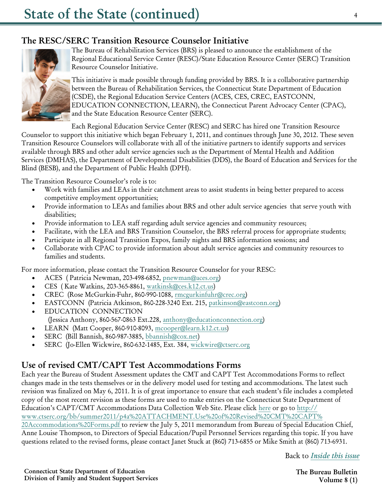#### **The RESC/SERC Transition Resource Counselor Initiative**



The Bureau of Rehabilitation Services (BRS) is pleased to announce the establishment of the Regional Educational Service Center (RESC)/State Education Resource Center (SERC) Transition Resource Counselor Initiative.

This initiative is made possible through funding provided by BRS. It is a collaborative partnership between the Bureau of Rehabilitation Services, the Connecticut State Department of Education (CSDE), the Regional Education Service Centers (ACES, CES, CREC, EASTCONN, EDUCATION CONNECTION, LEARN), the Connecticut Parent Advocacy Center (CPAC), and the State Education Resource Center (SERC).

Each Regional Education Service Center (RESC) and SERC has hired one Transition Resource

Counselor to support this initiative which began February 1, 2011, and continues through June 30, 2012. These seven Transition Resource Counselors will collaborate with all of the initiative partners to identify supports and services available through BRS and other adult service agencies such as the Department of Mental Health and Addition Services (DMHAS), the Department of Developmental Disabilities (DDS), the Board of Education and Services for the Blind (BESB), and the Department of Public Health (DPH).

The Transition Resource Counselor's role is to:

- Work with families and LEAs in their catchment areas to assist students in being better prepared to access competitive employment opportunities;
- Provide information to LEAs and families about BRS and other adult service agencies that serve youth with disabilities;
- Provide information to LEA staff regarding adult service agencies and community resources;
- Facilitate, with the LEA and BRS Transition Counselor, the BRS referral process for appropriate students;
- Participate in all Regional Transition Expos, family nights and BRS information sessions; and
- Collaborate with CPAC to provide information about adult service agencies and community resources to families and students.

For more information, please contact the Transition Resource Counselor for your RESC:

- ACES ( Patricia Newman, 203-498-6852, [pnewman@aces.org\)](mailto:pnewman@aces.org)
- CES ( Kate Watkins, 203-365-8861, [watkinsk@ces.k12.ct.us](mailto:watkinsk@ces.k12.ct.us))
- CREC (Rose McGurkin-Fuhr, 860-990-1088, [rmcgurkinfuhr@crec.org\)](mailto:rmcgurkinfuhr@crec.org)
- EASTCONN (Patricia Atkinson, 860-228-3240 Ext. 215, [patkinson@eastconn.org\)](mailto:patkinson@eastconn.org)
- EDUCATION CONNECTION (Jessica Anthony, 860-567-0863 Ext.228, [anthony@educationconnection.org](mailto:anthony@educationconnection.org))
- LEARN (Matt Cooper, 860-910-8093, [mcooper@learn.k12.ct.us\)](mailto:mcooper@learn.k12.ct.us)
- SERC (Bill Bannish, 860-987-3885, [bbannish@cox.net](mailto:bbannish@cox.net))
- SERC (Jo-Ellen Wickwire, 860-632-1485, Ext. 384, [wickwire@ctserc.org](mailto:wickwire@ctserc.org)

#### **Use of revised CMT/CAPT Test Accommodations Forms**

Each year the Bureau of Student Assessment updates the CMT and CAPT Test Accommodations Forms to reflect changes made in the tests themselves or in the delivery model used for testing and accommodations. The latest such revision was finalized on May 6, 2011. It is of great importance to ensure that each student's file includes a completed copy of the most recent revision as these forms are used to make entries on the Connecticut State Department of Education's CAPT/CMT Accommodations Data Collection Web Site. Please click [here](http://www.ctserc.org/bb/summer2011/p4a%20ATTACHMENT.Use%20of%20Revised%20CMT%20CAPT%20Accommodations%20Forms.pdf) or go to [http://](http://www.ctserc.org/bb/summer2011/p4a%20ATTACHMENT.Use%20of%20Revised%20CMT%20CAPT%20Accommodations%20Forms.pdf) [www.ctserc.org/bb/summer2011/p4a%20ATTACHMENT.Use%20of%20Revised%20CMT%20CAPT%](http://www.ctserc.org/bb/summer2011/p4a%20ATTACHMENT.Use%20of%20Revised%20CMT%20CAPT%20Accommodations%20Forms.pdf) [20Accommodations%20Forms.](http://www.ctserc.org/bb/summer2011/p4a%20ATTACHMENT.Use%20of%20Revised%20CMT%20CAPT%20Accommodations%20Forms.pdf)pdf to review the July 5, 2011 memorandum from Bureau of Special Education Chief, Anne Louise Thompson, to Directors of Special Education/Pupil Personnel Services regarding this topic. If you have questions related to the revised forms, please contact Janet Stuck at (860) 713-6855 or Mike Smith at (860) 713-6931.

Back to *[Inside this issue](#page-0-0)*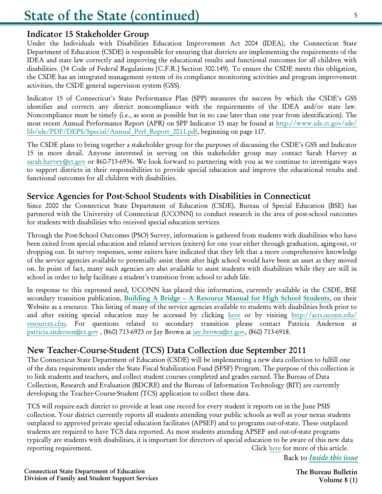#### Indicator 15 Stakeholder Group

Under the Individuals with Disabilities Education Improvement Act 2004 (IDEA), the Connecticut State Department of Education (CSDE) is responsible for ensuring that districts are implementing the requirements of the IDEA and state law correctly and improving the educational results and functional outcomes for all children with disabilities. (34 Code of Federal Regulations [C.F.R.] Section 300.149). To ensure the CSDE meets this obligation, the CSDE has an integrated management system of its compliance monitoring activities and program improvement activities, the CSDE general supervision system (GSS).

Indicator 15 of Connecticut's State Performance Plan (SPP) measures the success by which the CSDE's GSS identifies and corrects any district noncompliance with the requirements of the IDEA and/or state law. Noncompliance must be timely (i.e., as soon as possible but in no case later than one year from identification). The [most recent Annual Performance Report \(APR\) on SPP Indicator 15 may be found at](http://www.sde.ct.gov/sde/lib/sde/PDF/DEPS/Special/Annual_Perf_Report_2011.pdf) <http://www.sde.ct.gov/sde/> lib/sde/PDF/DEPS/Special/Annual\_Perf\_Report\_2011.pdf, beginning on page 117.

The CSDE plans to bring together a stakeholder group for the purposes of discussing the CSDE's GSS and Indicator 15 in more detail. Anyone interested in serving on this stakeholder group may contact Sarah Harvey at [sarah.harvey@ct.gov or](mailto:sarah.harvey@ct.gov) 860-713-6936. We look forward to partnering with you as we continue to investigate ways to support districts in their responsibilities to provide special education and improve the educational results and functional outcomes for all children with disabilities.

#### Service Agencies for Post-School Students with Disabilities in Connecticut

Since 2000 the Connecticut State Department of Education (CSDE), Bureau of Special Education (BSE) has partnered with the University of Connecticut (UCONN) to conduct research in the area of post-school outcomes for students with disabilities who received special education services.

Through the Post-School Outcomes (PSO) Survey, information is gathered from students with disabilities who have been exited from special education and related services (exiters) for one year either through graduation, aging-out, or dropping out. In survey responses, some exiters have indicated that they felt that a more comprehensive knowledge of the service agencies available to potentially assist them after high school would have been an asset as they moved on. In point of fact, many such agencies are also available to assist students with disabilities while they are still in school in order to help facilitate a student's transition from school to adult life.

In response to this expressed need, UCONN has placed this information, currently available in the CSDE, BSE secondary transition publication, Building A Bridge - A Resource Manual for High School Students, on their Website as a resource. This listing of many of the service agencies available to students with disabilities both prior to [and after exiting special education may be accessed by clicking here or by visiting](http://acts.uconn.edu/resources.cfm) <http://acts.uconn.edu/> resources.cfm. For questions related to secondary transition please contact Patricia Anderson at [patricia.anderson@ct.gov , \(](mailto:patricia.anderson@ct.gov)860) 713-6923 or Jay Brown at [jay.brown@ct.gov, \(86](mailto:jay.brown@ct.gov)0) 713-6918.

#### New Teacher-Course-Student (TCS) Data Collection due September 2011

The Connecticut State Department of Education (CSDE) will be implementing a new data collection to fulfill one of the data requirements under the State Fiscal Stabilization Fund (SFSF) Program. The purpose of this collection is to link students and teachers, and collect student courses completed and grades earned. The Bureau of Data Collection, Research and Evaluation (BDCRE) and the Bureau of Information Technology (BIT) are currently developing the Teacher-Course-Student (TCS) application to collect these data.

TCS will require each district to provide at least one record for every student it reports on in the June PSIS collection. Your district currently reports all students attending your public schools as well as your nexus students outplaced to approved private special education facilitates (APSEF) and to programs out-of-state. These outplaced students are required to have TCS data reported. As most students attending APSEF and out-of-state programs typically are students with disabilities, it is important for directors of special education to be aware of this new data reporting requirement. Click [here](http://www.ctserc.org/bb/summer2011/p5%20TCS%20Article%20for%20SPED%20Bureau%20Bulletin.STATE.OF.THE.pdf) for more of this article.

Back to *[Inside this issue](#page-0-0)*

Connecticut State Department of Education Division of Family and Student Support Services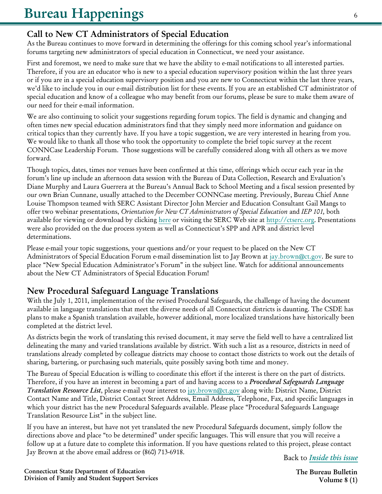#### **Call to New CT Administrators of Special Education**

As the Bureau continues to move forward in determining the offerings for this coming school year's informational forums targeting new administrators of special education in Connecticut, we need your assistance.

First and foremost, we need to make sure that we have the ability to e-mail notifications to all interested parties. Therefore, if you are an educator who is new to a special education supervisory position within the last three years or if you are in a special education supervisory position and you are new to Connecticut within the last three years, we'd like to include you in our e-mail distribution list for these events. If you are an established CT administrator of special education and know of a colleague who may benefit from our forums, please be sure to make them aware of our need for their e-mail information.

We are also continuing to solicit your suggestions regarding forum topics. The field is dynamic and changing and often times new special education administrators find that they simply need more information and guidance on critical topics than they currently have. If you have a topic suggestion, we are very interested in hearing from you. We would like to thank all those who took the opportunity to complete the brief topic survey at the recent CONNCase Leadership Forum. Those suggestions will be carefully considered along with all others as we move forward.

Though topics, dates, times nor venues have been confirmed at this time, offerings which occur each year in the forum's line up include an afternoon data session with the Bureau of Data Collection, Research and Evaluation's Diane Murphy and Laura Guerrera at the Bureau's Annual Back to School Meeting and a fiscal session presented by our own Brian Cunnane, usually attached to the December CONNCase meeting. Previously, Bureau Chief Anne Louise Thompson teamed with SERC Assistant Director John Mercier and Education Consultant Gail Mangs to offer two webinar presentations, *Orientation for New CT Administrators of Special Education* and *IEP 101,* both available for viewing or download by clicking [here](http://ctserc.org/s/index.php?option=com_content&view=article&id=760:orientation-for-new-ct-administrators-of-special-education-&catid=16:leadership&Itemid=110) or visiting the SERC Web site at [http://ctserc.org.](http://ctserc.org/s/index.php?option=com_content&view=article&id=760:orientation-for-new-ct-administrators-of-special-education-&catid=16:leadership&Itemid=110) Presentations were also provided on the due process system as well as Connecticut's SPP and APR and district level determinations.

Please e-mail your topic suggestions, your questions and/or your request to be placed on the New CT Administrators of Special Education Forum e-mail dissemination list to Jay Brown at jay.brown@ct.gov. Be sure to place "New Special Education Administrator's Forum" in the subject line. Watch for additional announcements about the New CT Administrators of Special Education Forum!

#### **New Procedural Safeguard Language Translations**

With the July 1, 2011, implementation of the revised Procedural Safeguards, the challenge of having the document available in language translations that meet the diverse needs of all Connecticut districts is daunting. The CSDE has plans to make a Spanish translation available, however additional, more localized translations have historically been completed at the district level.

As districts begin the work of translating this revised document, it may serve the field well to have a centralized list delineating the many and varied translations available by district. With such a list as a resource, districts in need of translations already completed by colleague districts may choose to contact those districts to work out the details of sharing, bartering, or purchasing such materials, quite possibly saving both time and money.

The Bureau of Special Education is willing to coordinate this effort if the interest is there on the part of districts. Therefore, if you have an interest in becoming a part of and having access to a *Procedural Safeguards Language Translation Resource List*, please e-mail your interest to jay.brown@ct.gov along with: District Name, District Contact Name and Title, District Contact Street Address, Email Address, Telephone, Fax, and specific languages in which your district has the new Procedural Safeguards available. Please place "Procedural Safeguards Language Translation Resource List" in the subject line.

If you have an interest, but have not yet translated the new Procedural Safeguards document, simply follow the directions above and place "to be determined" under specific languages. This will ensure that you will receive a follow up at a future date to complete this information. If you have questions related to this project, please contact Jay Brown at the above email address or (860) 713-6918.

Back to *Inside this issue*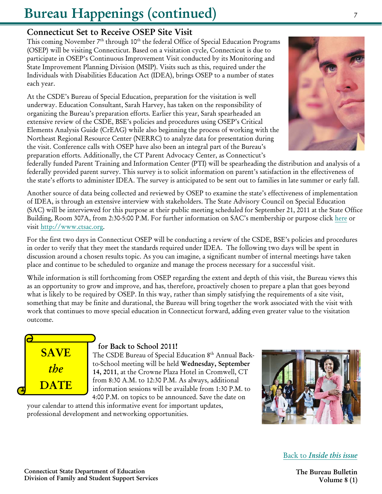# Bureau Happenings (continued)

#### Connecticut Set to Receive OSEP Site Visit

This coming November  $7<sup>th</sup>$  through  $10<sup>th</sup>$  the federal Office of Special Education Programs (OSEP) will be visiting Connecticut. Based on a visitation cycle, Connecticut is due to participate in OSEP's Continuous Improvement Visit conducted by its Monitoring and State Improvement Planning Division (MSIP). Visits such as this, required under the Individuals with Disabilities Education Act (IDEA), brings OSEP to a number of states each year.

At the CSDE's Bureau of Special Education, preparation for the visitation is well underway. Education Consultant, Sarah Harvey, has taken on the responsibility of organizing the Bureau's preparation efforts. Earlier this year, Sarah spearheaded an extensive review of the CSDE, BSE's policies and procedures using OSEP's Critical Elements Analysis Guide (CrEAG) while also beginning the process of working with the Northeast Regional Resource Center (NERRC) to analyze data for presentation during the visit. Conference calls with OSEP have also been an integral part of the Bureau's preparation efforts. Additionally, the CT Parent Advocacy Center, as Connecticut's



Another source of data being collected and reviewed by OSEP to examine the state's effectiveness of implementation of IDEA, is through an extensive interview with stakeholders. The State Advisory Council on Special Education (SAC) will be interviewed for this purpose at their public meeting scheduled for September 21, 2011 at the State Office Building, Room 307A, from 2:30-5:00 P.M. For further information on SAC's membership or purpose click [here](http://www.ctsac.org/) or visit [http://www.ctsac.org.](http://www.ctsac.org) 

For the first two days in Connecticut OSEP will be conducting a review of the CSDE, BSE's policies and procedures in order to verify that they meet the standards required under IDEA. The following two days will be spent in discussion around a chosen results topic. As you can imagine, a significant number of internal meetings have taken place and continue to be scheduled to organize and manage the process necessary for a successful visit.

While information is still forthcoming from OSEP regarding the extent and depth of this visit, the Bureau views this as an opportunity to grow and improve, and has, therefore, proactively chosen to prepare a plan that goes beyond what is likely to be required by OSEP. In this way, rather than simply satisfying the requirements of a site visit, something that may be finite and durational, the Bureau will bring together the work associated with the visit with work that continues to move special education in Connecticut forward, adding even greater value to the visitation outcome.



#### for Back to School 2011!

The CSDE Bureau of Special Education 8th Annual Backto-School meeting will be held Wednesday, September 14, 2011, at the Crowne Plaza Hotel in Cromwell, CT from 8:30 A.M. to 12:30 P.M. As always, additional information sessions will be available from 1:30 P.M. to 4:00 P.M. on topics to be announced. Save the date on

your calendar to attend this informative event for important updates, professional development and networking opportunities.



Back to *[Inside this issue](#page-0-0)*

The Bureau Bulletin Volume 8 (1)

Connecticut State Department of Education Division of Family and Student Support Services

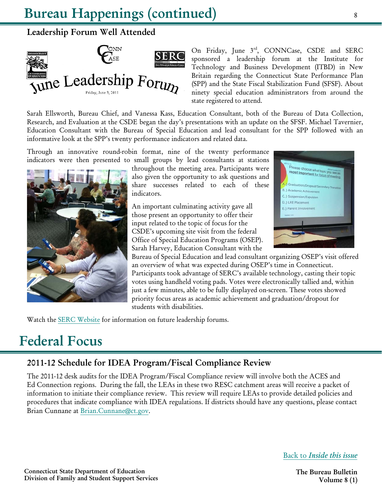# Bureau Happenings (continued)

## Leadership Forum Well Attended



On Friday, June 3rd, CONNCase, CSDE and SERC sponsored a leadership forum at the Institute for Technology and Business Development (ITBD) in New Britain regarding the Connecticut State Performance Plan (SPP) and the State Fiscal Stabilization Fund (SFSF). About ninety special education administrators from around the state registered to attend.

Sarah Ellsworth, Bureau Chief, and Vanessa Kass, Education Consultant, both of the Bureau of Data Collection, Research, and Evaluation at the CSDE began the day's presentations with an update on the SFSF. Michael Tavernier, Education Consultant with the Bureau of Special Education and lead consultant for the SPP followed with an informative look at the SPP's twenty performance indicators and related data.

Through an innovative round-robin format, nine of the twenty performance indicators were then presented to small groups by lead consultants at stations



throughout the meeting area. Participants were also given the opportunity to ask questions and share successes related to each of these indicators.

An important culminating activity gave all those present an opportunity to offer their input related to the topic of focus for the CSDE's upcoming site visit from the federal Office of Special Education Programs (OSEP). Sarah Harvey, Education Consultant with the



Bureau of Special Education and lead consultant organizing OSEP's visit offered an overview of what was expected during OSEP's time in Connecticut. Participants took advantage of SERC's available technology, casting their topic votes using handheld voting pads. Votes were electronically tallied and, within just a few minutes, able to be fully displayed on-screen. These votes showed priority focus areas as academic achievement and graduation/dropout for students with disabilities.

Watch th[e SERC Website](www.ctserc.org) for information on future leadership forums.

# Federal Focus

## 2011-12 Schedule for IDEA Program/Fiscal Compliance Review

The 2011-12 desk audits for the IDEA Program/Fiscal Compliance review will involve both the ACES and Ed Connection regions. During the fall, the LEAs in these two RESC catchment areas will receive a packet of information to initiate their compliance review. This review will require LEAs to provide detailed policies and procedures that indicate compliance with IDEA regulations. If districts should have any questions, please contact Brian Cunnane at [Brian.Cunnane@ct.gov.](mailto:Brian.Cunnane@ct.gov) 

Back to *[Inside this issue](#page-0-0)*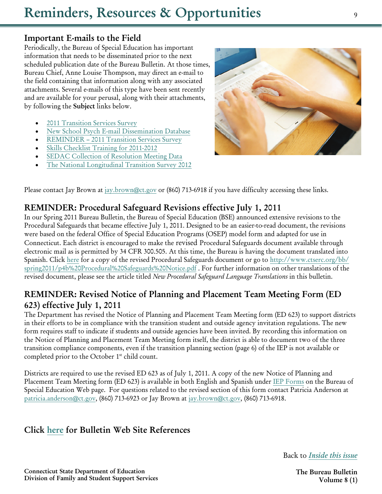# **Reminders, Resources & Opportunities**

#### **Important E-mails to the Field**

Periodically, the Bureau of Special Education has important information that needs to be disseminated prior to the next scheduled publication date of the Bureau Bulletin. At those times, Bureau Chief, Anne Louise Thompson, may direct an e-mail to the field containing that information along with any associated attachments. Several e-mails of this type have been sent recently and are available for your perusal, along with their attachments, by following the **Subject** links below.

- [2011 Transition Services Survey](http://www.ctserc.org/bb/summer2011/p9a%20ATTACHMENT.BSE-2011%20Transition%20Services%20Survey%20-%20Your%20Assistance%20is%20Requested.pdf.pdf)
- [New School Psych E-mail Dissemination Database](http://www.ctserc.org/bb/summer2011/p9b%20ATTACHMENT.BSE-New%20School%20Psych%20E-mail%20Dissemination%20Database.pdf)
- [REMINDER 2011 Transition Services Survey](http://www.ctserc.org/bb/summer2011/p9c%20ATTACHMENT.REMINDER%20-%202011%20Transition%20Services%20Survey%20-%20DUE%20June%201,%202011!.pdf)
- [Skills Checklist Training for 2011-2012](http://www.ctserc.org/bb/summer2011/p9d%20ATTACHMENT.skills%20checklist%20training%20for%202011-2012.pdf)
- [SEDAC Collection of Resolution Meeting Data](http://www.ctserc.org/bb/summer2011/p9e%20ATTACHMENT.BSE-SEDAC%20Collection%20of%20Resolution%20Meeting%20Data%20-%20Due%208-9-11.pdf)
- [The National Longitudinal Transition Survey 2012](http://www.ctserc.org/bb/summer2011/p9f%20ATTACHMENT.BSE-The%20National%20Longitudinal%20Transition%20Survey%202012.pdf)



Please contact Jay Brown at [jay.brown@ct.gov](mailto:jay.brown@ct.gov) or (860) 713-6918 if you have difficulty accessing these links.

#### **REMINDER: Procedural Safeguard Revisions effective July 1, 2011**

In our Spring 2011 Bureau Bulletin, the Bureau of Special Education (BSE) announced extensive revisions to the Procedural Safeguards that became effective July 1, 2011. Designed to be an easier-to-read document, the revisions were based on the federal Office of Special Education Programs (OSEP) model form and adapted for use in Connecticut. Each district is encouraged to make the revised Procedural Safeguards document available through electronic mail as is permitted by 34 CFR 300.505. At this time, the Bureau is having the document translated into Spanish. Click [here](http://www.ctserc.org/bb/spring2011/p4b%20Procedural%20Safeguards%20Notice.pdf) for a copy of the revised Procedural Safeguards document or go to [http://www.ctserc.org/bb/](http://www.ctserc.org/bb/spring2011/p4b%20Procedural%20Safeguards%20Notice.pdf) [spring2011/p4b%20Procedural%20Safeguards%20Notice.pdf](http://www.ctserc.org/bb/spring2011/p4b%20Procedural%20Safeguards%20Notice.pdf) . For further information on other translations of the revised document, please see the article titled *New Procedural Safeguard Language Translations* in this bulletin.

#### **REMINDER: Revised Notice of Planning and Placement Team Meeting Form (ED 623) effective July 1, 2011**

The Department has revised the Notice of Planning and Placement Team Meeting form (ED 623) to support districts in their efforts to be in compliance with the transition student and outside agency invitation regulations. The new form requires staff to indicate if students and outside agencies have been invited. By recording this information on the Notice of Planning and Placement Team Meeting form itself, the district is able to document two of the three transition compliance components, even if the transition planning section (page 6) of the IEP is not available or completed prior to the October 1<sup>st</sup> child count.

Districts are required to use the revised ED 623 as of July 1, 2011. A copy of the new Notice of Planning and Placement Team Meeting form (ED 623) is available in both English and Spanish under [IEP Forms](http://www.sde.ct.gov/sde/cwp/view.asp?a=2626&q=322680#IEP) on the Bureau of Special Education Web page. For questions related to the revised section of this form contact Patricia Anderson at [patricia.anderson@ct.gov](mailto:patricia.anderson@ct.gov), (860) 713-6923 or Jay Brown at [jay.brown@ct.gov](mailto:jay.brown@ct.gov), (860) 713-6918.

### **Click [here](http://www.ctserc.org/bb/summer2011/bbreferences.html) for Bulletin Web Site References**

Back to *[I](#page-0-0)[nside this issue](#page--1-0)*

**Connecticut State Department of Education Division of Family and Student Support Services**